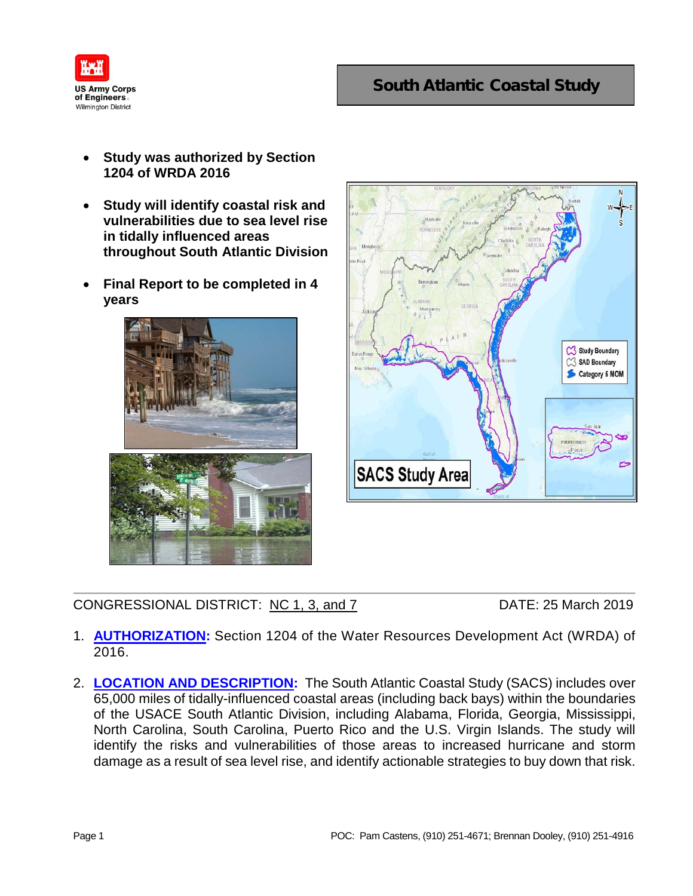

## South Atlantic Coastal Study

- **Study was authorized by Section 1204 of WRDA 2016**
- **Study will identify coastal risk and vulnerabilities due to sea level rise in tidally influenced areas throughout South Atlantic Division**
- **Final Report to be completed in 4 years**





CONGRESSIONAL DISTRICT: NC 1, 3, and 7 DATE: 25 March 2019

- 1. **AUTHORIZATION:** Section 1204 of the Water Resources Development Act (WRDA) of 2016.
- 2. **LOCATION AND DESCRIPTION:** The South Atlantic Coastal Study (SACS) includes over 65,000 miles of tidally-influenced coastal areas (including back bays) within the boundaries of the USACE South Atlantic Division, including Alabama, Florida, Georgia, Mississippi, North Carolina, South Carolina, Puerto Rico and the U.S. Virgin Islands. The study will identify the risks and vulnerabilities of those areas to increased hurricane and storm damage as a result of sea level rise, and identify actionable strategies to buy down that risk.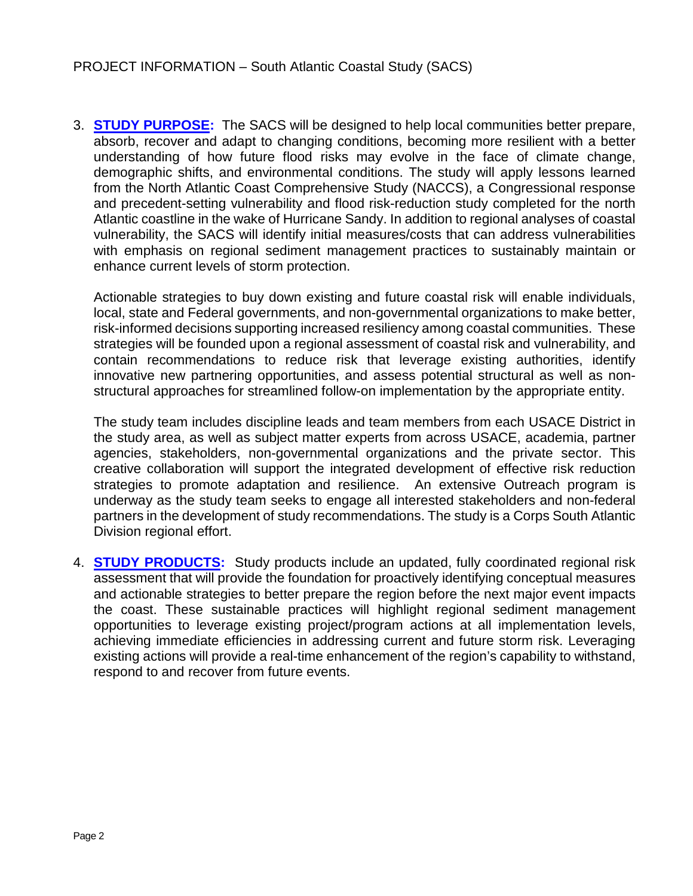3. **STUDY PURPOSE:** The SACS will be designed to help local communities better prepare, absorb, recover and adapt to changing conditions, becoming more resilient with a better understanding of how future flood risks may evolve in the face of climate change, demographic shifts, and environmental conditions. The study will apply lessons learned from the North Atlantic Coast Comprehensive Study (NACCS), a Congressional response and precedent-setting vulnerability and flood risk-reduction study completed for the north Atlantic coastline in the wake of Hurricane Sandy. In addition to regional analyses of coastal vulnerability, the SACS will identify initial measures/costs that can address vulnerabilities with emphasis on regional sediment management practices to sustainably maintain or enhance current levels of storm protection.

Actionable strategies to buy down existing and future coastal risk will enable individuals, local, state and Federal governments, and non-governmental organizations to make better, risk-informed decisions supporting increased resiliency among coastal communities. These strategies will be founded upon a regional assessment of coastal risk and vulnerability, and contain recommendations to reduce risk that leverage existing authorities, identify innovative new partnering opportunities, and assess potential structural as well as nonstructural approaches for streamlined follow-on implementation by the appropriate entity.

The study team includes discipline leads and team members from each USACE District in the study area, as well as subject matter experts from across USACE, academia, partner agencies, stakeholders, non-governmental organizations and the private sector. This creative collaboration will support the integrated development of effective risk reduction strategies to promote adaptation and resilience. An extensive Outreach program is underway as the study team seeks to engage all interested stakeholders and non-federal partners in the development of study recommendations. The study is a Corps South Atlantic Division regional effort.

4. **STUDY PRODUCTS:** Study products include an updated, fully coordinated regional risk assessment that will provide the foundation for proactively identifying conceptual measures and actionable strategies to better prepare the region before the next major event impacts the coast. These sustainable practices will highlight regional sediment management opportunities to leverage existing project/program actions at all implementation levels, achieving immediate efficiencies in addressing current and future storm risk. Leveraging existing actions will provide a real-time enhancement of the region's capability to withstand, respond to and recover from future events.